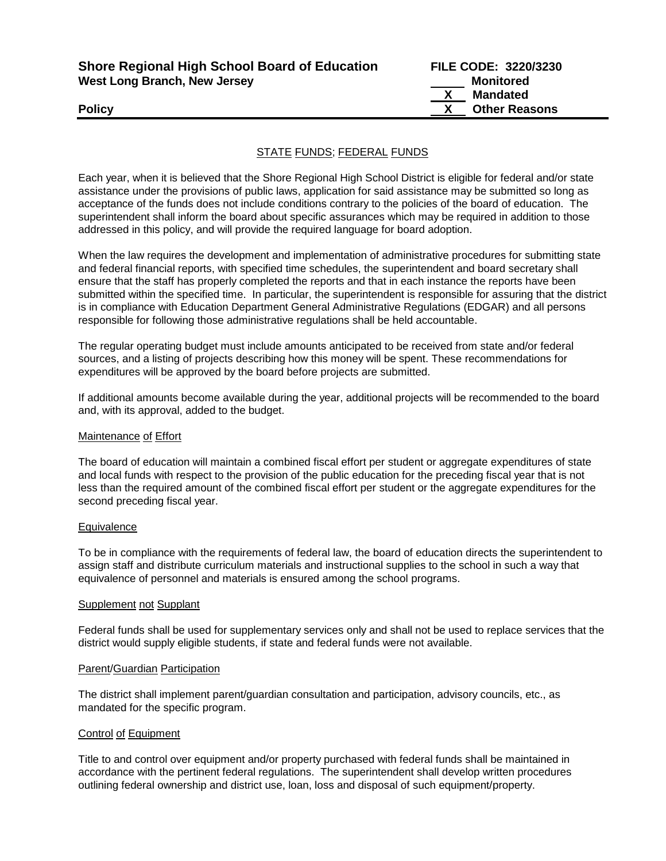| <b>Shore Regional High School Board of Education</b> | <b>FILE CODE: 3220/3230</b> |                      |
|------------------------------------------------------|-----------------------------|----------------------|
| <b>West Long Branch, New Jersey</b>                  |                             | <b>Monitored</b>     |
|                                                      |                             | Mandated             |
| <b>Policy</b>                                        |                             | <b>Other Reasons</b> |
|                                                      |                             |                      |

### STATE FUNDS; FEDERAL FUNDS

Each year, when it is believed that the Shore Regional High School District is eligible for federal and/or state assistance under the provisions of public laws, application for said assistance may be submitted so long as acceptance of the funds does not include conditions contrary to the policies of the board of education. The superintendent shall inform the board about specific assurances which may be required in addition to those addressed in this policy, and will provide the required language for board adoption.

When the law requires the development and implementation of administrative procedures for submitting state and federal financial reports, with specified time schedules, the superintendent and board secretary shall ensure that the staff has properly completed the reports and that in each instance the reports have been submitted within the specified time. In particular, the superintendent is responsible for assuring that the district is in compliance with Education Department General Administrative Regulations (EDGAR) and all persons responsible for following those administrative regulations shall be held accountable.

The regular operating budget must include amounts anticipated to be received from state and/or federal sources, and a listing of projects describing how this money will be spent. These recommendations for expenditures will be approved by the board before projects are submitted.

If additional amounts become available during the year, additional projects will be recommended to the board and, with its approval, added to the budget.

#### Maintenance of Effort

The board of education will maintain a combined fiscal effort per student or aggregate expenditures of state and local funds with respect to the provision of the public education for the preceding fiscal year that is not less than the required amount of the combined fiscal effort per student or the aggregate expenditures for the second preceding fiscal year.

#### **Equivalence**

To be in compliance with the requirements of federal law, the board of education directs the superintendent to assign staff and distribute curriculum materials and instructional supplies to the school in such a way that equivalence of personnel and materials is ensured among the school programs.

#### Supplement not Supplant

Federal funds shall be used for supplementary services only and shall not be used to replace services that the district would supply eligible students, if state and federal funds were not available.

#### Parent/Guardian Participation

The district shall implement parent/guardian consultation and participation, advisory councils, etc., as mandated for the specific program.

### Control of Equipment

Title to and control over equipment and/or property purchased with federal funds shall be maintained in accordance with the pertinent federal regulations. The superintendent shall develop written procedures outlining federal ownership and district use, loan, loss and disposal of such equipment/property.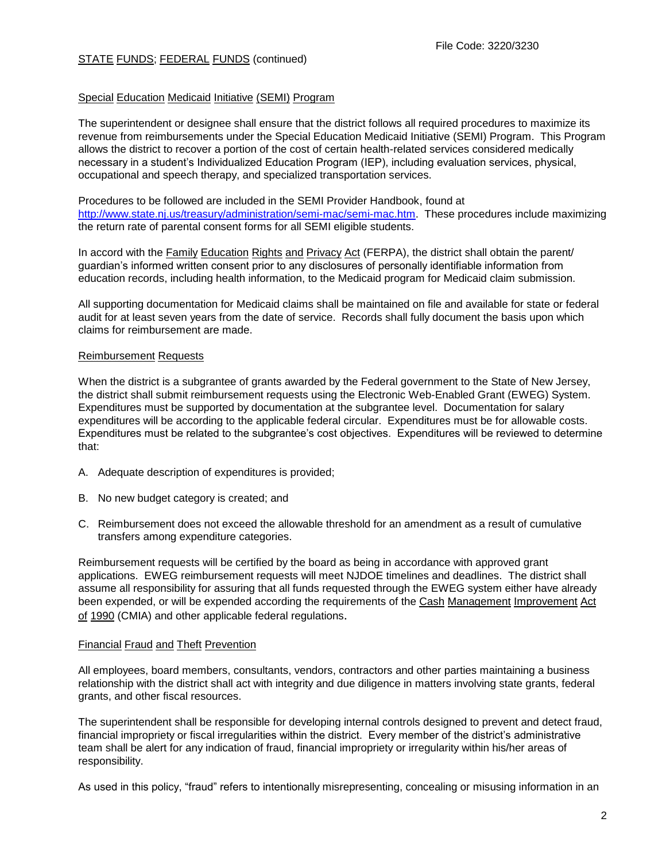# STATE FUNDS; FEDERAL FUNDS (continued)

## Special Education Medicaid Initiative (SEMI) Program

The superintendent or designee shall ensure that the district follows all required procedures to maximize its revenue from reimbursements under the Special Education Medicaid Initiative (SEMI) Program. This Program allows the district to recover a portion of the cost of certain health-related services considered medically necessary in a student's Individualized Education Program (IEP), including evaluation services, physical, occupational and speech therapy, and specialized transportation services.

Procedures to be followed are included in the SEMI Provider Handbook, found at [http://www.state.nj.us/treasury/administration/semi-mac/semi-mac.htm.](http://www.state.nj.us/treasury/administration/semi-mac/semi-mac.htm) These procedures include maximizing the return rate of parental consent forms for all SEMI eligible students.

In accord with the Family Education Rights and Privacy Act (FERPA), the district shall obtain the parent/ guardian's informed written consent prior to any disclosures of personally identifiable information from education records, including health information, to the Medicaid program for Medicaid claim submission.

All supporting documentation for Medicaid claims shall be maintained on file and available for state or federal audit for at least seven years from the date of service. Records shall fully document the basis upon which claims for reimbursement are made.

### Reimbursement Requests

When the district is a subgrantee of grants awarded by the Federal government to the State of New Jersey, the district shall submit reimbursement requests using the Electronic Web-Enabled Grant (EWEG) System. Expenditures must be supported by documentation at the subgrantee level. Documentation for salary expenditures will be according to the applicable federal circular. Expenditures must be for allowable costs. Expenditures must be related to the subgrantee's cost objectives. Expenditures will be reviewed to determine that:

- A. Adequate description of expenditures is provided;
- B. No new budget category is created; and
- C. Reimbursement does not exceed the allowable threshold for an amendment as a result of cumulative transfers among expenditure categories.

Reimbursement requests will be certified by the board as being in accordance with approved grant applications. EWEG reimbursement requests will meet NJDOE timelines and deadlines. The district shall assume all responsibility for assuring that all funds requested through the EWEG system either have already been expended, or will be expended according the requirements of the Cash Management Improvement Act of 1990 (CMIA) and other applicable federal regulations.

## Financial Fraud and Theft Prevention

All employees, board members, consultants, vendors, contractors and other parties maintaining a business relationship with the district shall act with integrity and due diligence in matters involving state grants, federal grants, and other fiscal resources.

The superintendent shall be responsible for developing internal controls designed to prevent and detect fraud, financial impropriety or fiscal irregularities within the district. Every member of the district's administrative team shall be alert for any indication of fraud, financial impropriety or irregularity within his/her areas of responsibility.

As used in this policy, "fraud" refers to intentionally misrepresenting, concealing or misusing information in an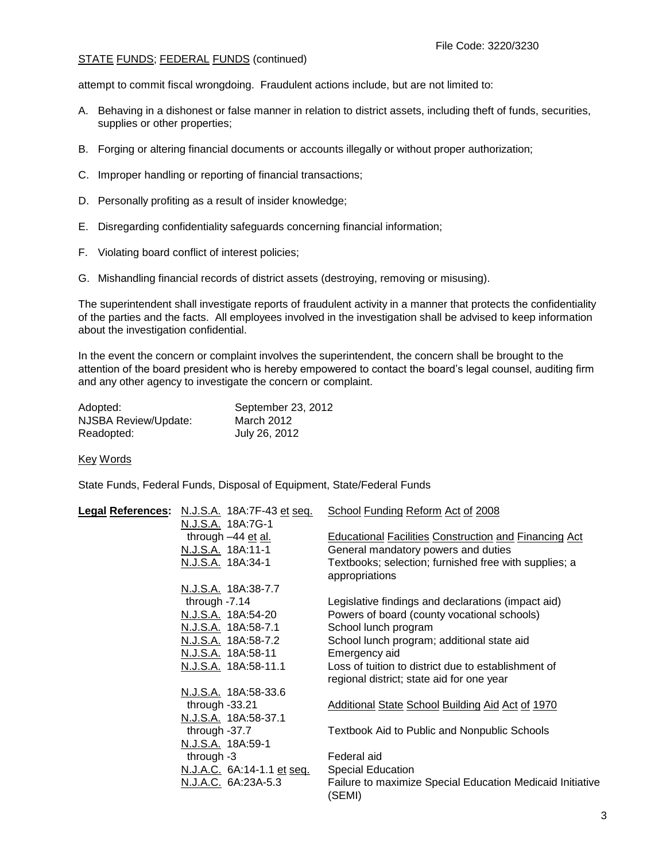## STATE FUNDS; FEDERAL FUNDS (continued)

attempt to commit fiscal wrongdoing. Fraudulent actions include, but are not limited to:

- A. Behaving in a dishonest or false manner in relation to district assets, including theft of funds, securities, supplies or other properties;
- B. Forging or altering financial documents or accounts illegally or without proper authorization;
- C. Improper handling or reporting of financial transactions;
- D. Personally profiting as a result of insider knowledge;
- E. Disregarding confidentiality safeguards concerning financial information;
- F. Violating board conflict of interest policies;
- G. Mishandling financial records of district assets (destroying, removing or misusing).

The superintendent shall investigate reports of fraudulent activity in a manner that protects the confidentiality of the parties and the facts. All employees involved in the investigation shall be advised to keep information about the investigation confidential.

In the event the concern or complaint involves the superintendent, the concern shall be brought to the attention of the board president who is hereby empowered to contact the board's legal counsel, auditing firm and any other agency to investigate the concern or complaint.

| Adopted:             | September 23, 2012 |
|----------------------|--------------------|
| NJSBA Review/Update: | March 2012         |
| Readopted:           | July 26, 2012      |

### Key Words

State Funds, Federal Funds, Disposal of Equipment, State/Federal Funds

| <b>Legal References:</b> | N.J.S.A. 18A:7F-43 et seq.               | School Funding Reform Act of 2008                            |
|--------------------------|------------------------------------------|--------------------------------------------------------------|
|                          | N.J.S.A. 18A:7G-1                        |                                                              |
|                          | through -44 et al.                       | <b>Educational Facilities Construction and Financing Act</b> |
|                          | N.J.S.A. 18A:11-1                        | General mandatory powers and duties                          |
|                          | N.J.S.A. 18A:34-1                        | Textbooks; selection; furnished free with supplies; a        |
|                          |                                          | appropriations                                               |
|                          | N.J.S.A. 18A:38-7.7                      |                                                              |
|                          | through $-7.14$                          | Legislative findings and declarations (impact aid)           |
|                          | N.J.S.A. 18A:54-20                       | Powers of board (county vocational schools)                  |
|                          | N.J.S.A. 18A:58-7.1                      | School lunch program                                         |
|                          | N.J.S.A. 18A:58-7.2                      | School lunch program; additional state aid                   |
|                          | N.J.S.A. 18A:58-11                       | Emergency aid                                                |
|                          | N.J.S.A. 18A:58-11.1                     | Loss of tuition to district due to establishment of          |
|                          |                                          | regional district; state aid for one year                    |
|                          | N.J.S.A. 18A:58-33.6                     |                                                              |
|                          | through $-33.21$                         | Additional State School Building Aid Act of 1970             |
|                          | N.J.S.A. 18A:58-37.1                     |                                                              |
|                          | through $-37.7$                          | <b>Textbook Aid to Public and Nonpublic Schools</b>          |
|                          | N.J.S.A. 18A:59-1                        |                                                              |
|                          | through $-3$                             | Federal aid                                                  |
|                          | <u>N.J.A.C.</u> 6A:14-1.1 <u>et seq.</u> | <b>Special Education</b>                                     |
|                          | N.J.A.C. 6A:23A-5.3                      | Failure to maximize Special Education Medicaid Initiative    |
|                          |                                          | (SEMI)                                                       |